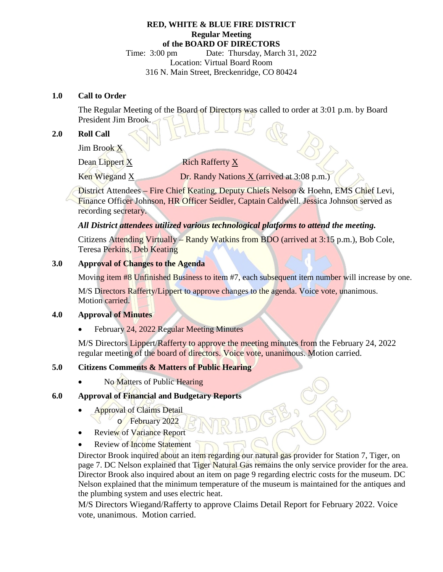#### **RED, WHITE & BLUE FIRE DISTRICT Regular Meeting of the BOARD OF DIRECTORS**

Time: 3:00 pm Date: Thursday, March 31, 2022 Location: Virtual Board Room 316 N. Main Street, Breckenridge, CO 80424

#### **1.0 Call to Order**

The Regular Meeting of the Board of Directors was called to order at 3:01 p.m. by Board President Jim Brook.

# **2.0 Roll Call**

Jim Brook X

Dean Lippert  $\underline{X}$  Rich Rafferty  $\underline{X}$ 

Ken Wiegand X Dr. Randy Nations X (arrived at 3:08 p.m.)

District Attendees – Fire Chief Keating, Deputy Chiefs Nelson & Hoehn, EMS Chief Levi, Finance Officer Johnson, HR Officer Seidler, Captain Caldwell. Jessica Johnson served as recording secretary.

# *All District attendees utilized various technological platforms to attend the meeting.*

Citizens Attending Virtually – Randy Watkins from BDO (arrived at 3:15 p.m.), Bob Cole, Teresa Perkins, Deb Keating

# **3.0 Approval of Changes to the Agenda**

Moving item #8 Unfinished Business to item #7, each subsequent item number will increase by one.

M/S Directors Rafferty/Lippert to approve changes to the agenda. Voice vote, unanimous. Motion carried.

# **4.0 Approval of Minutes**

February 24, 2022 Regular Meeting Minutes

M/S Directors Lippert/Rafferty to approve the meeting minutes from the February 24, 2022 regular meeting of the board of directors. Voice vote, unanimous. Motion carried.

# **5.0 Citizens Comments & Matters of Public Hearing**

No Matters of Public Hearing

# **6.0 Approval of Financial and Budgetary Reports**

- Approval of Claims Detail
	- o February 2022
- Review of Variance Report
- Review of Income Statement

Director Brook inquired about an item regarding our natural gas provider for Station 7, Tiger, on page 7. DC Nelson explained that Tiger Natural Gas remains the only service provider for the area. Director Brook also inquired about an item on page 9 regarding electric costs for the museum. DC Nelson explained that the minimum temperature of the museum is maintained for the antiques and the plumbing system and uses electric heat.

M/S Directors Wiegand/Rafferty to approve Claims Detail Report for February 2022. Voice vote, unanimous. Motion carried.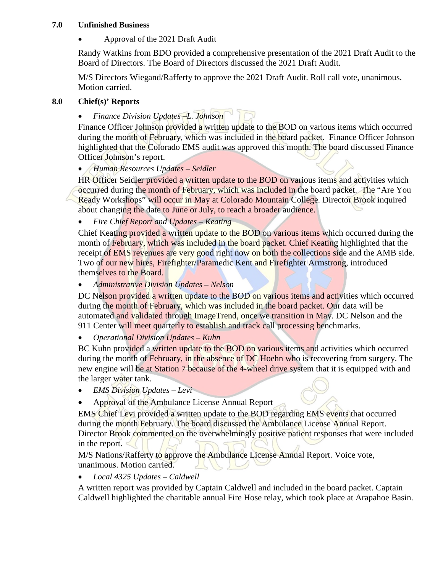#### **7.0 Unfinished Business**

Approval of the 2021 Draft Audit

Randy Watkins from BDO provided a comprehensive presentation of the 2021 Draft Audit to the Board of Directors. The Board of Directors discussed the 2021 Draft Audit.

M/S Directors Wiegand/Rafferty to approve the 2021 Draft Audit. Roll call vote, unanimous. Motion carried.

# **8.0 Chief(s)' Reports**

*Finance Division Updates –L. Johnson* 

Finance Officer Johnson provided a written update to the BOD on various items which occurred during the month of February, which was included in the board packet. Finance Officer Johnson highlighted that the Colorado EMS audit was approved this month. The board discussed Finance Officer Johnson's report.

*Human Resources Updates – Seidler* 

HR Officer Seidler provided a written update to the BOD on various items and activities which occurred during the month of February, which was included in the board packet. The "Are You Ready Workshops" will occur in May at Colorado Mountain College. Director Brook inquired about changing the date to June or July, to reach a broader audience.

*Fire Chief Report and Updates – Keating* 

Chief Keating provided a written update to the BOD on various items which occurred during the month of February, which was included in the board packet. Chief Keating highlighted that the receipt of EMS revenues are very good right now on both the collections side and the AMB side. Two of our new hires, Firefighter/Paramedic Kent and Firefighter Armstrong, introduced themselves to the Board.

*Administrative Division Updates – Nelson* 

DC Nelson provided a written update to the BOD on various items and activities which occurred during the month of February, which was included in the board packet. Our data will be automated and validated through ImageTrend, once we transition in May. DC Nelson and the 911 Center will meet quarterly to establish and track call processing benchmarks.

*Operational Division Updates – Kuhn* 

BC Kuhn provided a written update to the BOD on various items and activities which occurred during the month of February, in the absence of DC Hoehn who is recovering from surgery. The new engine will be at Station 7 because of the 4-wheel drive system that it is equipped with and the larger water tank.

- *EMS Division Updates Levi*
- Approval of the Ambulance License Annual Report

EMS Chief Levi provided a written update to the BOD regarding EMS events that occurred during the month February. The board discussed the Ambulance License Annual Report. Director Brook commented on the overwhelmingly positive patient responses that were included in the report.

M/S Nations/Rafferty to approve the Ambulance License Annual Report. Voice vote, unanimous. Motion carried.

*Local 4325 Updates – Caldwell* 

A written report was provided by Captain Caldwell and included in the board packet. Captain Caldwell highlighted the charitable annual Fire Hose relay, which took place at Arapahoe Basin.